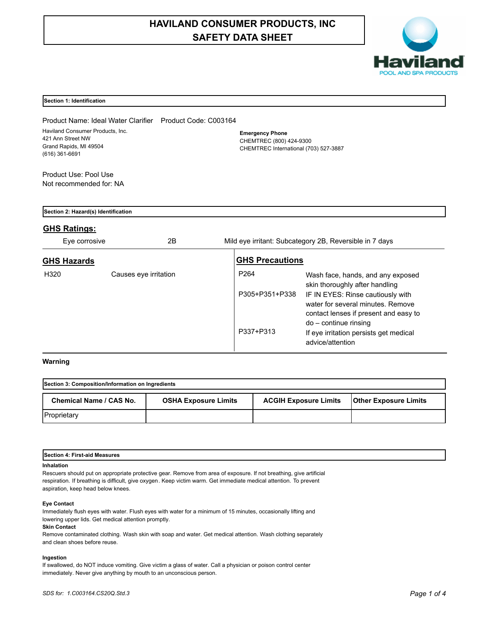# **HAVILAND CONSUMER PRODUCTS, INC SAFETY DATA SHEET**



# **Section 1: Identification**

Product Name: Ideal Water Clarifier Product Code: C003164 Haviland Consumer Products, Inc. 421 Ann Street NW Grand Rapids, MI 49504 (616) 361-6691

**Emergency Phone** CHEMTREC (800) 424-9300 CHEMTREC International (703) 527-3887

Product Use: Pool Use Not recommended for: NA

| Section 2: Hazard(s) Identification |                       |  |                        |                                                                                                                 |
|-------------------------------------|-----------------------|--|------------------------|-----------------------------------------------------------------------------------------------------------------|
| <b>GHS Ratings:</b>                 |                       |  |                        |                                                                                                                 |
| Eye corrosive                       | 2Β                    |  |                        | Mild eye irritant: Subcategory 2B, Reversible in 7 days                                                         |
| <b>GHS Hazards</b>                  |                       |  | <b>GHS Precautions</b> |                                                                                                                 |
| H320                                | Causes eye irritation |  | P <sub>264</sub>       | Wash face, hands, and any exposed<br>skin thoroughly after handling                                             |
|                                     |                       |  | P305+P351+P338         | IF IN EYES: Rinse cautiously with<br>water for several minutes. Remove<br>contact lenses if present and easy to |
|                                     |                       |  | P337+P313              | $do$ – continue rinsing<br>If eye irritation persists get medical<br>advice/attention                           |

# **Warning**

| Section 3: Composition/Information on Ingredients |                             |                              |                              |  |
|---------------------------------------------------|-----------------------------|------------------------------|------------------------------|--|
| Chemical Name / CAS No.                           | <b>OSHA Exposure Limits</b> | <b>ACGIH Exposure Limits</b> | <b>Other Exposure Limits</b> |  |
| Proprietary                                       |                             |                              |                              |  |

| <b>First-aid Measures</b><br>Section 4<br>. |  |
|---------------------------------------------|--|
| <b>Inhalation</b>                           |  |

Rescuers should put on appropriate protective gear. Remove from area of exposure. If not breathing, give artificial respiration. If breathing is difficult, give oxygen. Keep victim warm. Get immediate medical attention. To prevent aspiration, keep head below knees.

## **Eye Contact**

Immediately flush eyes with water. Flush eyes with water for a minimum of 15 minutes, occasionally lifting and lowering upper lids. Get medical attention promptly.

## **Skin Contact**

Remove contaminated clothing. Wash skin with soap and water. Get medical attention. Wash clothing separately and clean shoes before reuse.

## **Ingestion**

If swallowed, do NOT induce vomiting. Give victim a glass of water. Call a physician or poison control center immediately. Never give anything by mouth to an unconscious person.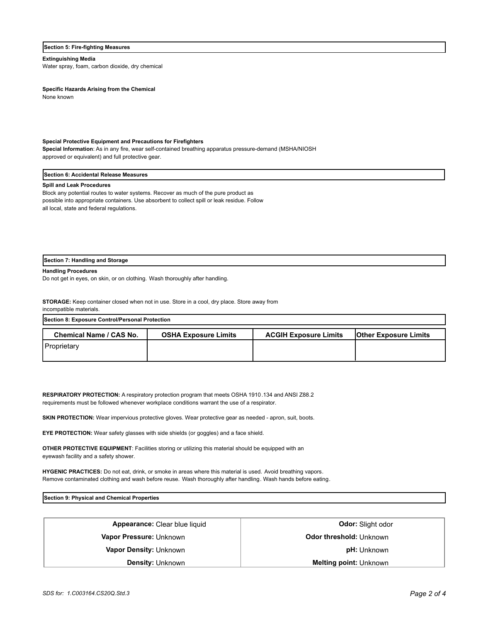## **Section 5: Fire-fighting Measures**

## **Extinguishing Media**

Water spray, foam, carbon dioxide, dry chemical

**Specific Hazards Arising from the Chemical**

None known

## **Special Protective Equipment and Precautions for Firefighters**

**Special Information**: As in any fire, wear self-contained breathing apparatus pressure-demand (MSHA/NIOSH approved or equivalent) and full protective gear.

## **Section 6: Accidental Release Measures**

### **Spill and Leak Procedures**

Block any potential routes to water systems. Recover as much of the pure product as possible into appropriate containers. Use absorbent to collect spill or leak residue. Follow all local, state and federal regulations.

## **Section 7: Handling and Storage**

## **Handling Procedures**

Do not get in eyes, on skin, or on clothing. Wash thoroughly after handling.

**STORAGE:** Keep container closed when not in use. Store in a cool, dry place. Store away from incompatible materials.

| <b>Section 8: Exposure Control/Personal Protection</b> |                             |                              |                              |  |
|--------------------------------------------------------|-----------------------------|------------------------------|------------------------------|--|
| Chemical Name / CAS No.                                | <b>OSHA Exposure Limits</b> | <b>ACGIH Exposure Limits</b> | <b>Other Exposure Limits</b> |  |
| <b>Proprietary</b>                                     |                             |                              |                              |  |

**RESPIRATORY PROTECTION:** A respiratory protection program that meets OSHA 1910.134 and ANSI Z88.2 requirements must be followed whenever workplace conditions warrant the use of a respirator.

**SKIN PROTECTION:** Wear impervious protective gloves. Wear protective gear as needed - apron, suit, boots.

**EYE PROTECTION:** Wear safety glasses with side shields (or goggles) and a face shield.

**OTHER PROTECTIVE EQUIPMENT**: Facilities storing or utilizing this material should be equipped with an eyewash facility and a safety shower.

**HYGENIC PRACTICES:** Do not eat, drink, or smoke in areas where this material is used. Avoid breathing vapors. Remove contaminated clothing and wash before reuse. Wash thoroughly after handling. Wash hands before eating.

**Section 9: Physical and Chemical Properties**

| <b>Density: Unknown</b>       | <b>Melting point: Unknown</b>  |  |
|-------------------------------|--------------------------------|--|
| <b>Vapor Density: Unknown</b> | <b>pH:</b> Unknown             |  |
| Vapor Pressure: Unknown       | <b>Odor threshold: Unknown</b> |  |
| Appearance: Clear blue liquid | <b>Odor:</b> Slight odor       |  |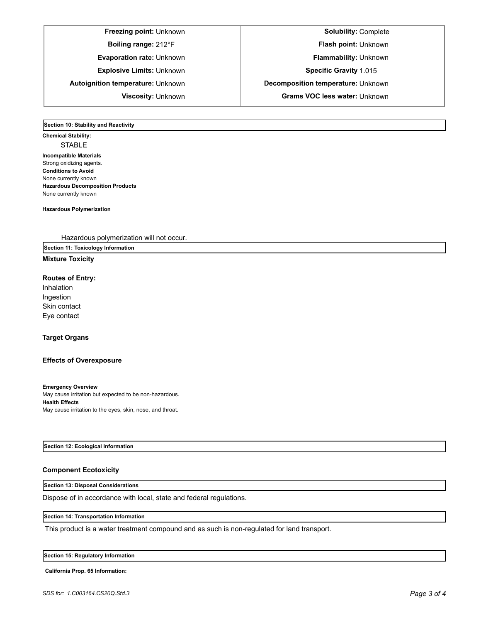# **Freezing point:** Unknown **Solubility:** Complete

**Boiling range:** 212°F **Flash point:** Unknown

**Evaporation rate:** Unknown **Flammability: Unknown** 

**Explosive Limits:** Unknown **Specific Gravity** 1.015

**Autoignition temperature:** Unknown **Decomposition temperature:** Unknown

**Viscosity:** Unknown **Grams VOC less water:** Unknown

**Section 10: Stability and Reactivity** 

**Chemical Stability:** STABLE **Incompatible Materials**  Strong oxidizing agents. **Conditions to Avoid** None currently known **Hazardous Decomposition Products** None currently known

**Hazardous Polymerization**

Hazardous polymerization will not occur.

**Section 11: Toxicology Information**

# **Mixture Toxicity**

# **Routes of Entry:**

Inhalation Ingestion Skin contact Eye contact

# **Target Organs**

# **Effects of Overexposure**

**Emergency Overview** May cause irritation but expected to be non-hazardous. **Health Effects** May cause irritation to the eyes, skin, nose, and throat.

## **Section 12: Ecological Information**

# **Component Ecotoxicity**

# **Section 13: Disposal Considerations**

Dispose of in accordance with local, state and federal regulations.

## **Section 14: Transportation Information**

This product is a water treatment compound and as such is non-regulated for land transport.

## **Section 15: Regulatory Information**

**California Prop. 65 Information:**